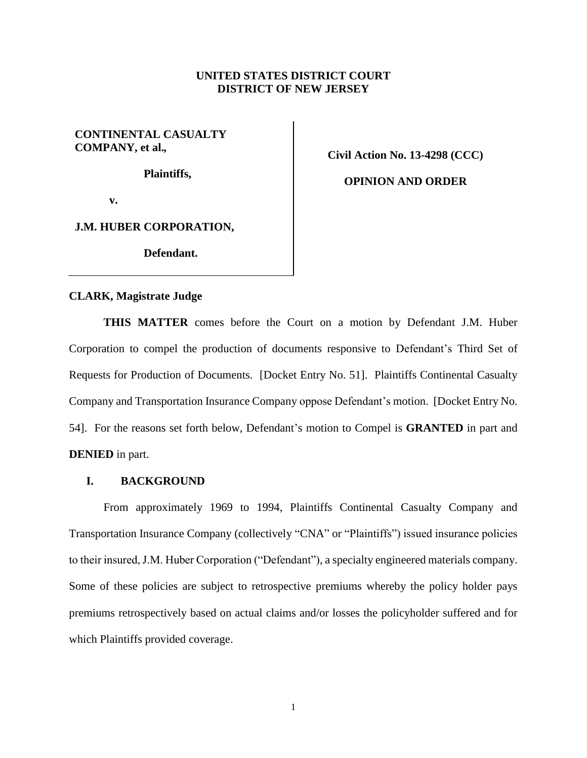## **UNITED STATES DISTRICT COURT DISTRICT OF NEW JERSEY**

## **CONTINENTAL CASUALTY COMPANY, et al.***,*

**Plaintiffs,**

**Civil Action No. 13-4298 (CCC)**

**OPINION AND ORDER**

**v.**

**J.M. HUBER CORPORATION,**

**Defendant.**

#### **CLARK, Magistrate Judge**

**THIS MATTER** comes before the Court on a motion by Defendant J.M. Huber Corporation to compel the production of documents responsive to Defendant's Third Set of Requests for Production of Documents. [Docket Entry No. 51]. Plaintiffs Continental Casualty Company and Transportation Insurance Company oppose Defendant's motion. [Docket Entry No. 54]. For the reasons set forth below, Defendant's motion to Compel is **GRANTED** in part and **DENIED** in part.

## **I. BACKGROUND**

From approximately 1969 to 1994, Plaintiffs Continental Casualty Company and Transportation Insurance Company (collectively "CNA" or "Plaintiffs") issued insurance policies to their insured, J.M. Huber Corporation ("Defendant"), a specialty engineered materials company. Some of these policies are subject to retrospective premiums whereby the policy holder pays premiums retrospectively based on actual claims and/or losses the policyholder suffered and for which Plaintiffs provided coverage.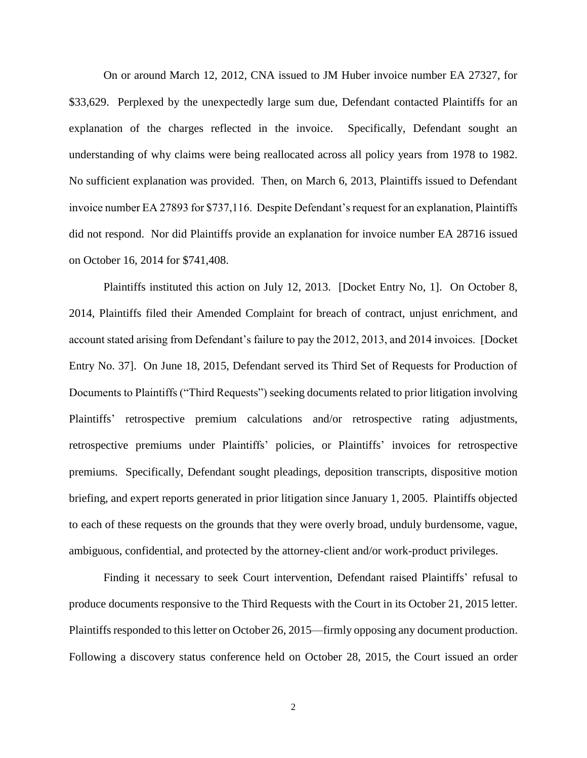On or around March 12, 2012, CNA issued to JM Huber invoice number EA 27327, for \$33,629. Perplexed by the unexpectedly large sum due, Defendant contacted Plaintiffs for an explanation of the charges reflected in the invoice. Specifically, Defendant sought an understanding of why claims were being reallocated across all policy years from 1978 to 1982. No sufficient explanation was provided. Then, on March 6, 2013, Plaintiffs issued to Defendant invoice number EA 27893 for \$737,116. Despite Defendant's request for an explanation, Plaintiffs did not respond. Nor did Plaintiffs provide an explanation for invoice number EA 28716 issued on October 16, 2014 for \$741,408.

Plaintiffs instituted this action on July 12, 2013. [Docket Entry No, 1]. On October 8, 2014, Plaintiffs filed their Amended Complaint for breach of contract, unjust enrichment, and account stated arising from Defendant's failure to pay the 2012, 2013, and 2014 invoices. [Docket Entry No. 37]. On June 18, 2015, Defendant served its Third Set of Requests for Production of Documents to Plaintiffs ("Third Requests") seeking documents related to prior litigation involving Plaintiffs' retrospective premium calculations and/or retrospective rating adjustments, retrospective premiums under Plaintiffs' policies, or Plaintiffs' invoices for retrospective premiums. Specifically, Defendant sought pleadings, deposition transcripts, dispositive motion briefing, and expert reports generated in prior litigation since January 1, 2005. Plaintiffs objected to each of these requests on the grounds that they were overly broad, unduly burdensome, vague, ambiguous, confidential, and protected by the attorney-client and/or work-product privileges.

Finding it necessary to seek Court intervention, Defendant raised Plaintiffs' refusal to produce documents responsive to the Third Requests with the Court in its October 21, 2015 letter. Plaintiffs responded to this letter on October 26, 2015—firmly opposing any document production. Following a discovery status conference held on October 28, 2015, the Court issued an order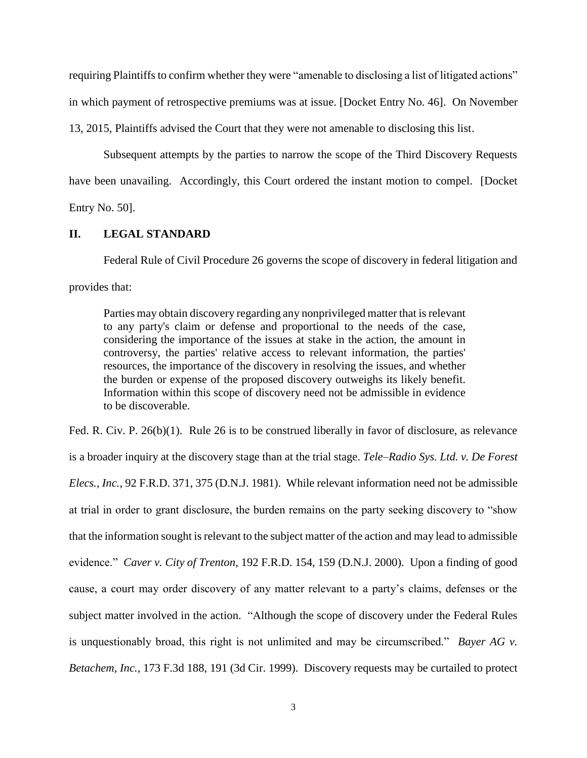requiring Plaintiffs to confirm whether they were "amenable to disclosing a list of litigated actions" in which payment of retrospective premiums was at issue. [Docket Entry No. 46]. On November

13, 2015, Plaintiffs advised the Court that they were not amenable to disclosing this list.

Subsequent attempts by the parties to narrow the scope of the Third Discovery Requests have been unavailing. Accordingly, this Court ordered the instant motion to compel. [Docket Entry No. 50].

### **II. LEGAL STANDARD**

Federal Rule of Civil Procedure 26 governs the scope of discovery in federal litigation and provides that:

Parties may obtain discovery regarding any nonprivileged matter that is relevant to any party's claim or defense and proportional to the needs of the case, considering the importance of the issues at stake in the action, the amount in controversy, the parties' relative access to relevant information, the parties' resources, the importance of the discovery in resolving the issues, and whether the burden or expense of the proposed discovery outweighs its likely benefit. Information within this scope of discovery need not be admissible in evidence to be discoverable.

Fed. R. Civ. P. 26(b)(1). Rule 26 is to be construed liberally in favor of disclosure, as relevance is a broader inquiry at the discovery stage than at the trial stage. *Tele–Radio Sys. Ltd. v. De Forest Elecs., Inc.,* 92 F.R.D. 371, 375 (D.N.J. 1981). While relevant information need not be admissible at trial in order to grant disclosure, the burden remains on the party seeking discovery to "show that the information sought is relevant to the subject matter of the action and may lead to admissible evidence." *Caver v. City of Trenton*, 192 F.R.D. 154, 159 (D.N.J. 2000). Upon a finding of good cause, a court may order discovery of any matter relevant to a party's claims, defenses or the subject matter involved in the action. "Although the scope of discovery under the Federal Rules is unquestionably broad, this right is not unlimited and may be circumscribed." *Bayer AG v. Betachem, Inc.,* 173 F.3d 188, 191 (3d Cir. 1999). Discovery requests may be curtailed to protect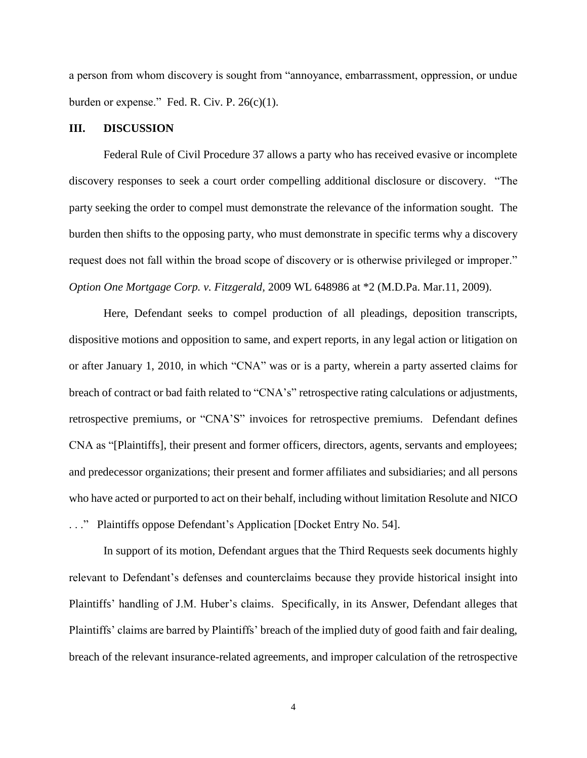a person from whom discovery is sought from "annoyance, embarrassment, oppression, or undue burden or expense." Fed. R. Civ. P. 26(c)(1).

#### **III. DISCUSSION**

Federal Rule of Civil Procedure 37 allows a party who has received evasive or incomplete discovery responses to seek a court order compelling additional disclosure or discovery. "The party seeking the order to compel must demonstrate the relevance of the information sought. The burden then shifts to the opposing party, who must demonstrate in specific terms why a discovery request does not fall within the broad scope of discovery or is otherwise privileged or improper." *Option One Mortgage Corp. v. Fitzgerald,* 2009 WL 648986 at \*2 (M.D.Pa. Mar.11, 2009).

Here, Defendant seeks to compel production of all pleadings, deposition transcripts, dispositive motions and opposition to same, and expert reports, in any legal action or litigation on or after January 1, 2010, in which "CNA" was or is a party, wherein a party asserted claims for breach of contract or bad faith related to "CNA's" retrospective rating calculations or adjustments, retrospective premiums, or "CNA'S" invoices for retrospective premiums. Defendant defines CNA as "[Plaintiffs], their present and former officers, directors, agents, servants and employees; and predecessor organizations; their present and former affiliates and subsidiaries; and all persons who have acted or purported to act on their behalf, including without limitation Resolute and NICO . . ." Plaintiffs oppose Defendant's Application [Docket Entry No. 54].

In support of its motion, Defendant argues that the Third Requests seek documents highly relevant to Defendant's defenses and counterclaims because they provide historical insight into Plaintiffs' handling of J.M. Huber's claims. Specifically, in its Answer, Defendant alleges that Plaintiffs' claims are barred by Plaintiffs' breach of the implied duty of good faith and fair dealing, breach of the relevant insurance-related agreements, and improper calculation of the retrospective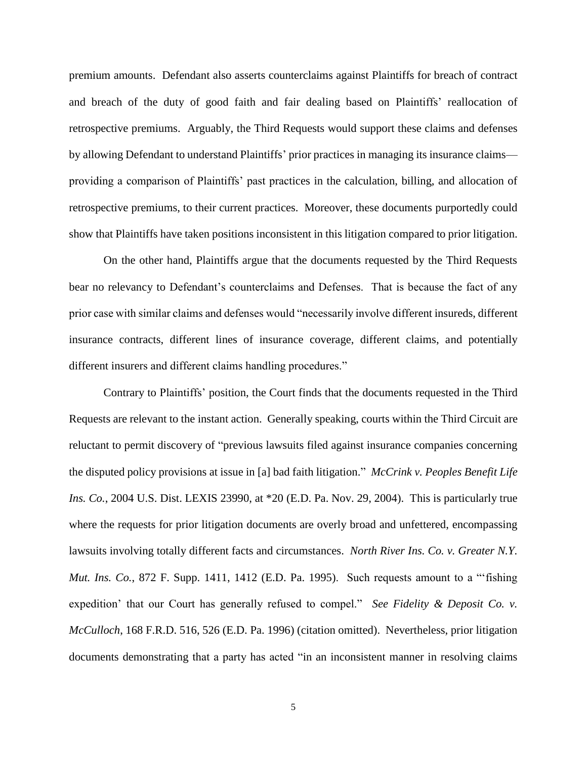premium amounts. Defendant also asserts counterclaims against Plaintiffs for breach of contract and breach of the duty of good faith and fair dealing based on Plaintiffs' reallocation of retrospective premiums. Arguably, the Third Requests would support these claims and defenses by allowing Defendant to understand Plaintiffs' prior practices in managing its insurance claims providing a comparison of Plaintiffs' past practices in the calculation, billing, and allocation of retrospective premiums, to their current practices. Moreover, these documents purportedly could show that Plaintiffs have taken positions inconsistent in this litigation compared to prior litigation.

On the other hand, Plaintiffs argue that the documents requested by the Third Requests bear no relevancy to Defendant's counterclaims and Defenses. That is because the fact of any prior case with similar claims and defenses would "necessarily involve different insureds, different insurance contracts, different lines of insurance coverage, different claims, and potentially different insurers and different claims handling procedures."

Contrary to Plaintiffs' position, the Court finds that the documents requested in the Third Requests are relevant to the instant action. Generally speaking, courts within the Third Circuit are reluctant to permit discovery of "previous lawsuits filed against insurance companies concerning the disputed policy provisions at issue in [a] bad faith litigation." *McCrink v. Peoples Benefit Life Ins. Co.*, 2004 U.S. Dist. LEXIS 23990, at \*20 (E.D. Pa. Nov. 29, 2004). This is particularly true where the requests for prior litigation documents are overly broad and unfettered, encompassing lawsuits involving totally different facts and circumstances. *North River Ins. Co. v. Greater N.Y. Mut. Ins. Co.*, 872 F. Supp. 1411, 1412 (E.D. Pa. 1995). Such requests amount to a "'fishing expedition' that our Court has generally refused to compel." *See Fidelity & Deposit Co. v. McCulloch*, 168 F.R.D. 516, 526 (E.D. Pa. 1996) (citation omitted). Nevertheless, prior litigation documents demonstrating that a party has acted "in an inconsistent manner in resolving claims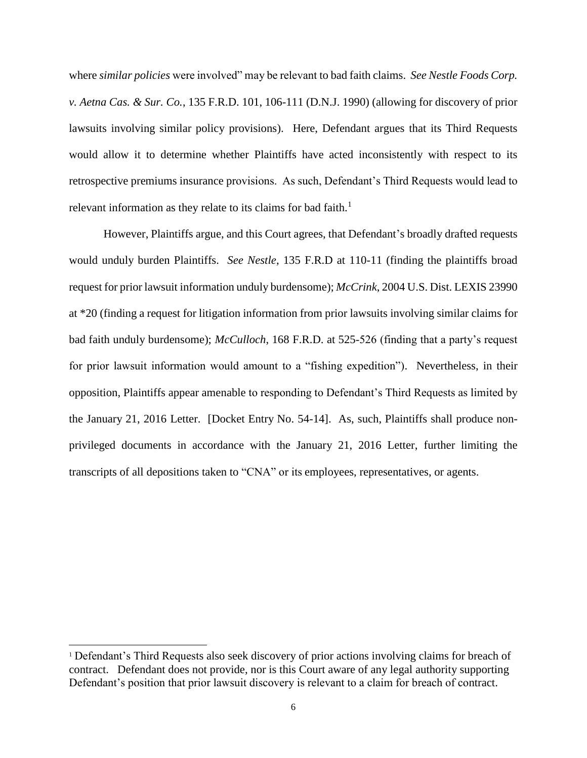where *similar policies* were involved" may be relevant to bad faith claims. *See Nestle Foods Corp. v. Aetna Cas. & Sur. Co.*, 135 F.R.D. 101, 106-111 (D.N.J. 1990) (allowing for discovery of prior lawsuits involving similar policy provisions). Here, Defendant argues that its Third Requests would allow it to determine whether Plaintiffs have acted inconsistently with respect to its retrospective premiums insurance provisions. As such, Defendant's Third Requests would lead to relevant information as they relate to its claims for bad faith.<sup>1</sup>

However, Plaintiffs argue, and this Court agrees, that Defendant's broadly drafted requests would unduly burden Plaintiffs. *See Nestle*, 135 F.R.D at 110-11 (finding the plaintiffs broad request for prior lawsuit information unduly burdensome); *McCrink*, 2004 U.S. Dist. LEXIS 23990 at \*20 (finding a request for litigation information from prior lawsuits involving similar claims for bad faith unduly burdensome); *McCulloch*, 168 F.R.D. at 525-526 (finding that a party's request for prior lawsuit information would amount to a "fishing expedition"). Nevertheless, in their opposition, Plaintiffs appear amenable to responding to Defendant's Third Requests as limited by the January 21, 2016 Letter. [Docket Entry No. 54-14]. As, such, Plaintiffs shall produce nonprivileged documents in accordance with the January 21, 2016 Letter, further limiting the transcripts of all depositions taken to "CNA" or its employees, representatives, or agents.

 $\overline{\phantom{a}}$ 

<sup>1</sup> Defendant's Third Requests also seek discovery of prior actions involving claims for breach of contract. Defendant does not provide, nor is this Court aware of any legal authority supporting Defendant's position that prior lawsuit discovery is relevant to a claim for breach of contract.